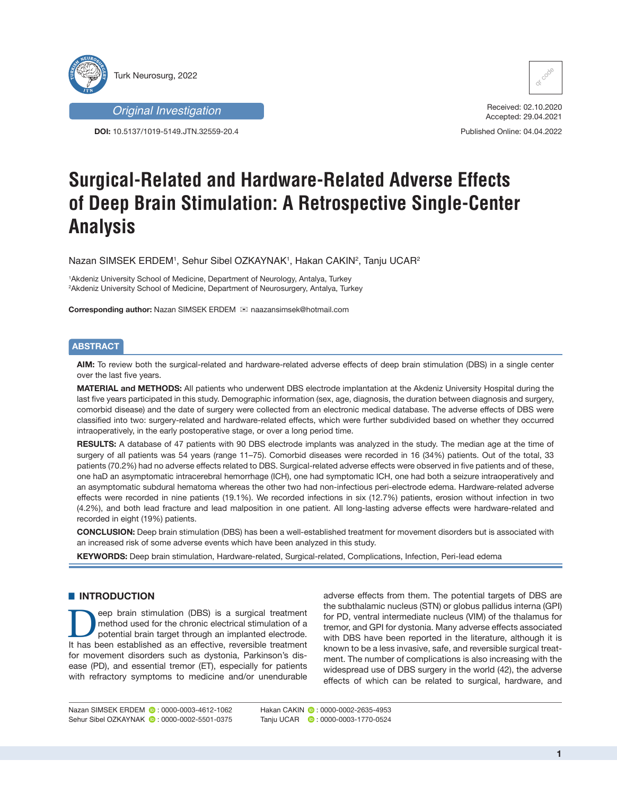

*Original Investigation*

**DOI:** 10.5137/1019-5149.JTN.32559-20.4



Received: 02.10.2020 Accepted: 29.04.2021

Published Online: 04.04.2022

# **Surgical-Related and Hardware-Related Adverse Effects of Deep Brain Stimulation: A Retrospective Single-Center Analysis**

Nazan SIMSEK ERDEM1, Sehur Sibel OZKAYNAK1, Hakan CAKIN<sup>2</sup>, Tanju UCAR<sup>2</sup>

1 Akdeniz University School of Medicine, Department of Neurology, Antalya, Turkey 2 Akdeniz University School of Medicine, Department of Neurosurgery, Antalya, Turkey

**Corresponding author:** Nazan SIMSEK ERDEM  $\mathbb{Z}$  naazansimsek@hotmail.com

## **ABSTRACT**

**AIM:** To review both the surgical-related and hardware-related adverse effects of deep brain stimulation (DBS) in a single center over the last five years.

**MATERIAL and METHODS:** All patients who underwent DBS electrode implantation at the Akdeniz University Hospital during the last five years participated in this study. Demographic information (sex, age, diagnosis, the duration between diagnosis and surgery, comorbid disease) and the date of surgery were collected from an electronic medical database. The adverse effects of DBS were classified into two: surgery-related and hardware-related effects, which were further subdivided based on whether they occurred intraoperatively, in the early postoperative stage, or over a long period time.

**RESULTS:** A database of 47 patients with 90 DBS electrode implants was analyzed in the study. The median age at the time of surgery of all patients was 54 years (range 11–75). Comorbid diseases were recorded in 16 (34%) patients. Out of the total, 33 patients (70.2%) had no adverse effects related to DBS. Surgical-related adverse effects were observed in five patients and of these, one haD an asymptomatic intracerebral hemorrhage (ICH), one had symptomatic ICH, one had both a seizure intraoperatively and an asymptomatic subdural hematoma whereas the other two had non-infectious peri-electrode edema. Hardware-related adverse effects were recorded in nine patients (19.1%). We recorded infections in six (12.7%) patients, erosion without infection in two (4.2%), and both lead fracture and lead malposition in one patient. All long-lasting adverse effects were hardware-related and recorded in eight (19%) patients.

**CONCLUSION:** Deep brain stimulation (DBS) has been a well-established treatment for movement disorders but is associated with an increased risk of some adverse events which have been analyzed in this study.

**KEYWORDS:** Deep brain stimulation, Hardware-related, Surgical-related, Complications, Infection, Peri-lead edema

# $\blacksquare$  **INTRODUCTION**

Europe brain stimulation (DBS) is a surgical treatment<br>method used for the chronic electrical stimulation of a<br>potential brain target through an implanted electrode.<br>It has been established as an effective reversible treat method used for the chronic electrical stimulation of a potential brain target through an implanted electrode. It has been established as an effective, reversible treatment for movement disorders such as dystonia, Parkinson's disease (PD), and essential tremor (ET), especially for patients with refractory symptoms to medicine and/or unendurable

adverse effects from them. The potential targets of DBS are the subthalamic nucleus (STN) or globus pallidus interna (GPI) for PD, ventral intermediate nucleus (VIM) of the thalamus for tremor, and GPI for dystonia. Many adverse effects associated with DBS have been reported in the literature, although it is known to be a less invasive, safe, and reversible surgical treatment. The number of complications is also increasing with the widespread use of DBS surgery in the world (42), the adverse effects of which can be related to surgical, hardware, and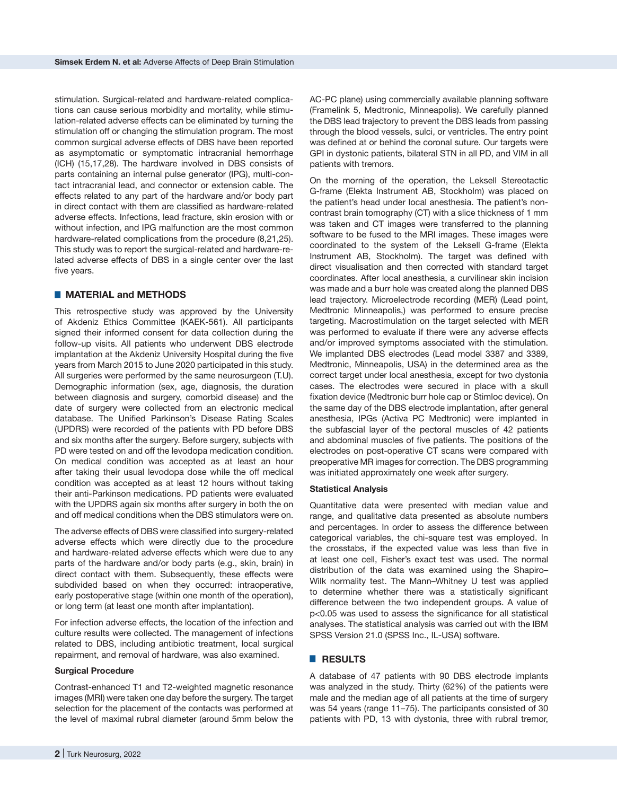stimulation. Surgical-related and hardware-related complications can cause serious morbidity and mortality, while stimulation-related adverse effects can be eliminated by turning the stimulation off or changing the stimulation program. The most common surgical adverse effects of DBS have been reported as asymptomatic or symptomatic intracranial hemorrhage (ICH) (15,17,28). The hardware involved in DBS consists of parts containing an internal pulse generator (IPG), multi-contact intracranial lead, and connector or extension cable. The effects related to any part of the hardware and/or body part in direct contact with them are classified as hardware-related adverse effects. Infections, lead fracture, skin erosion with or without infection, and IPG malfunction are the most common hardware-related complications from the procedure (8,21,25). This study was to report the surgical-related and hardware-related adverse effects of DBS in a single center over the last five years.

### █ **MATERIAL and METHODS**

This retrospective study was approved by the University of Akdeniz Ethics Committee (KAEK-561). All participants signed their informed consent for data collection during the follow-up visits. All patients who underwent DBS electrode implantation at the Akdeniz University Hospital during the five years from March 2015 to June 2020 participated in this study. All surgeries were performed by the same neurosurgeon (T.U). Demographic information (sex, age, diagnosis, the duration between diagnosis and surgery, comorbid disease) and the date of surgery were collected from an electronic medical database. The Unified Parkinson's Disease Rating Scales (UPDRS) were recorded of the patients with PD before DBS and six months after the surgery. Before surgery, subjects with PD were tested on and off the levodopa medication condition. On medical condition was accepted as at least an hour after taking their usual levodopa dose while the off medical condition was accepted as at least 12 hours without taking their anti-Parkinson medications. PD patients were evaluated with the UPDRS again six months after surgery in both the on and off medical conditions when the DBS stimulators were on.

The adverse effects of DBS were classified into surgery-related adverse effects which were directly due to the procedure and hardware-related adverse effects which were due to any parts of the hardware and/or body parts (e.g., skin, brain) in direct contact with them. Subsequently, these effects were subdivided based on when they occurred: intraoperative, early postoperative stage (within one month of the operation), or long term (at least one month after implantation).

For infection adverse effects, the location of the infection and culture results were collected. The management of infections related to DBS, including antibiotic treatment, local surgical repairment, and removal of hardware, was also examined.

## **Surgical Procedure**

Contrast-enhanced T1 and T2-weighted magnetic resonance images (MRI) were taken one day before the surgery. The target selection for the placement of the contacts was performed at the level of maximal rubral diameter (around 5mm below the

AC-PC plane) using commercially available planning software (Framelink 5, Medtronic, Minneapolis). We carefully planned the DBS lead trajectory to prevent the DBS leads from passing through the blood vessels, sulci, or ventricles. The entry point was defined at or behind the coronal suture. Our targets were GPI in dystonic patients, bilateral STN in all PD, and VIM in all patients with tremors.

On the morning of the operation, the Leksell Stereotactic G-frame (Elekta Instrument AB, Stockholm) was placed on the patient's head under local anesthesia. The patient's noncontrast brain tomography (CT) with a slice thickness of 1 mm was taken and CT images were transferred to the planning software to be fused to the MRI images. These images were coordinated to the system of the Leksell G-frame (Elekta Instrument AB, Stockholm). The target was defined with direct visualisation and then corrected with standard target coordinates. After local anesthesia, a curvilinear skin incision was made and a burr hole was created along the planned DBS lead trajectory. Microelectrode recording (MER) (Lead point, Medtronic Minneapolis,) was performed to ensure precise targeting. Macrostimulation on the target selected with MER was performed to evaluate if there were any adverse effects and/or improved symptoms associated with the stimulation. We implanted DBS electrodes (Lead model 3387 and 3389, Medtronic, Minneapolis, USA) in the determined area as the correct target under local anesthesia, except for two dystonia cases. The electrodes were secured in place with a skull fixation device (Medtronic burr hole cap or Stimloc device). On the same day of the DBS electrode implantation, after general anesthesia, IPGs (Activa PC Medtronic) were implanted in the subfascial layer of the pectoral muscles of 42 patients and abdominal muscles of five patients. The positions of the electrodes on post-operative CT scans were compared with preoperative MR images for correction. The DBS programming was initiated approximately one week after surgery.

#### **Statistical Analysis**

Quantitative data were presented with median value and range, and qualitative data presented as absolute numbers and percentages. In order to assess the difference between categorical variables, the chi-square test was employed. In the crosstabs, if the expected value was less than five in at least one cell, Fisher's exact test was used. The normal distribution of the data was examined using the Shapiro– Wilk normality test. The Mann–Whitney U test was applied to determine whether there was a statistically significant difference between the two independent groups. A value of p<0.05 was used to assess the significance for all statistical analyses. The statistical analysis was carried out with the IBM SPSS Version 21.0 (SPSS Inc., IL-USA) software.

## █ **RESULTS**

A database of 47 patients with 90 DBS electrode implants was analyzed in the study. Thirty (62%) of the patients were male and the median age of all patients at the time of surgery was 54 years (range 11–75). The participants consisted of 30 patients with PD, 13 with dystonia, three with rubral tremor,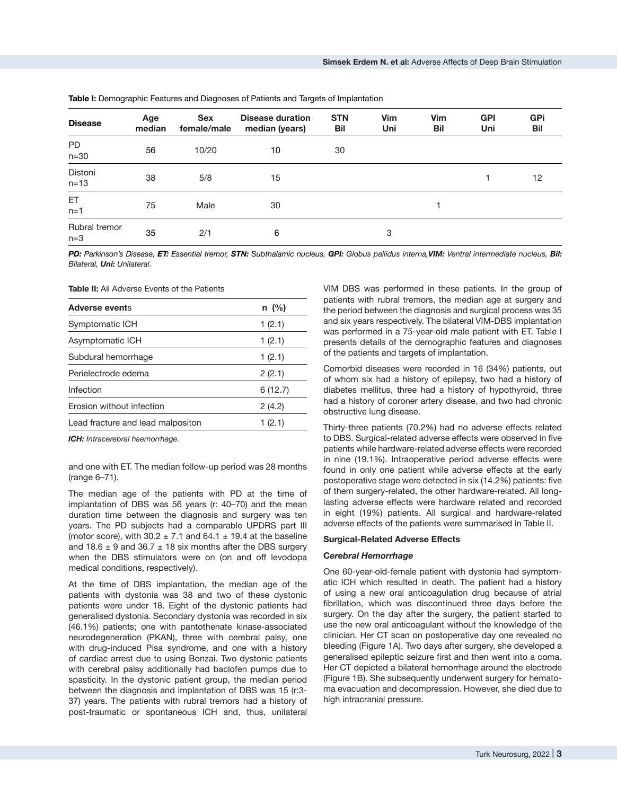| <b>Disease</b>         | Age<br>median | <b>Sex</b><br>female/male | <b>Disease duration</b><br>median (years) | <b>STN</b><br><b>Bil</b> | Vim<br>Uni | Vim<br>Bil | <b>GPI</b><br>Uni | <b>GPi</b><br>Bil |
|------------------------|---------------|---------------------------|-------------------------------------------|--------------------------|------------|------------|-------------------|-------------------|
| <b>PD</b><br>$n=30$    | 56            | 10/20                     | 10                                        | 30                       |            |            |                   |                   |
| Distoni<br>$n = 13$    | 38            | 5/8                       | 15                                        |                          |            |            |                   | 12                |
| ET<br>$n=1$            | 75            | Male                      | 30                                        |                          |            |            |                   |                   |
| Rubral tremor<br>$n=3$ | 35            | 2/1                       | 6                                         |                          | 3          |            |                   |                   |

**Table I:** Demographic Features and Diagnoses of Patients and Targets of Implantation

*PD: Parkinson's Disease, ET: Essential tremor, STN: Subthalamic nucleus, GPI: Globus pallidus interna,VIM: Ventral intermediate nucleus, Bil: Bilateral, Uni: Unilateral.*

**Table II:** All Adverse Events of the Patients

| <b>Adverse events</b>             | $n \ (\%)$ |
|-----------------------------------|------------|
| Symptomatic ICH                   | 1(2.1)     |
| Asymptomatic ICH                  | 1(2.1)     |
| Subdural hemorrhage               | 1(2.1)     |
| Perielectrode edema               | 2(2.1)     |
| Infection                         | 6(12.7)    |
| Frosion without infection         | 2(4.2)     |
| Lead fracture and lead malpositon | 1 (2.1)    |
|                                   |            |

*ICH: Intracerebral haemorrhage.*

and one with ET. The median follow-up period was 28 months (range 6–71).

The median age of the patients with PD at the time of implantation of DBS was 56 years (r: 40–70) and the mean duration time between the diagnosis and surgery was ten years. The PD subjects had a comparable UPDRS part III (motor score), with  $30.2 \pm 7.1$  and  $64.1 \pm 19.4$  at the baseline and 18.6  $\pm$  9 and 36.7  $\pm$  18 six months after the DBS surgery when the DBS stimulators were on (on and off levodopa medical conditions, respectively).

At the time of DBS implantation, the median age of the patients with dystonia was 38 and two of these dystonic patients were under 18. Eight of the dystonic patients had generalised dystonia. Secondary dystonia was recorded in six (46.1%) patients; one with pantothenate kinase-associated neurodegeneration (PKAN), three with cerebral palsy, one with drug-induced Pisa syndrome, and one with a history of cardiac arrest due to using Bonzai. Two dystonic patients with cerebral palsy additionally had baclofen pumps due to spasticity. In the dystonic patient group, the median period between the diagnosis and implantation of DBS was 15 (r:3- 37) years. The patients with rubral tremors had a history of post-traumatic or spontaneous ICH and, thus, unilateral

VIM DBS was performed in these patients. In the group of patients with rubral tremors, the median age at surgery and the period between the diagnosis and surgical process was 35 and six years respectively. The bilateral VIM-DBS implantation was performed in a 75-year-old male patient with ET. Table I presents details of the demographic features and diagnoses of the patients and targets of implantation.

Comorbid diseases were recorded in 16 (34%) patients, out of whom six had a history of epilepsy, two had a history of diabetes mellitus, three had a history of hypothyroid, three had a history of coroner artery disease, and two had chronic obstructive lung disease.

Thirty-three patients (70.2%) had no adverse effects related to DBS. Surgical-related adverse effects were observed in five patients while hardware-related adverse effects were recorded in nine (19.1%). Intraoperative period adverse effects were found in only one patient while adverse effects at the early postoperative stage were detected in six (14.2%) patients: five of them surgery-related, the other hardware-related. All longlasting adverse effects were hardware related and recorded in eight (19%) patients. All surgical and hardware-related adverse effects of the patients were summarised in Table II.

#### **Surgical-Related Adverse Effects**

#### **C***erebral Hemorrhage*

One 60-year-old-female patient with dystonia had symptomatic ICH which resulted in death. The patient had a history of using a new oral anticoagulation drug because of atrial fibrillation, which was discontinued three days before the surgery. On the day after the surgery, the patient started to use the new oral anticoagulant without the knowledge of the clinician. Her CT scan on postoperative day one revealed no bleeding (Figure 1A). Two days after surgery, she developed a generalised epileptic seizure first and then went into a coma. Her CT depicted a bilateral hemorrhage around the electrode (Figure 1B). She subsequently underwent surgery for hematoma evacuation and decompression. However, she died due to high intracranial pressure.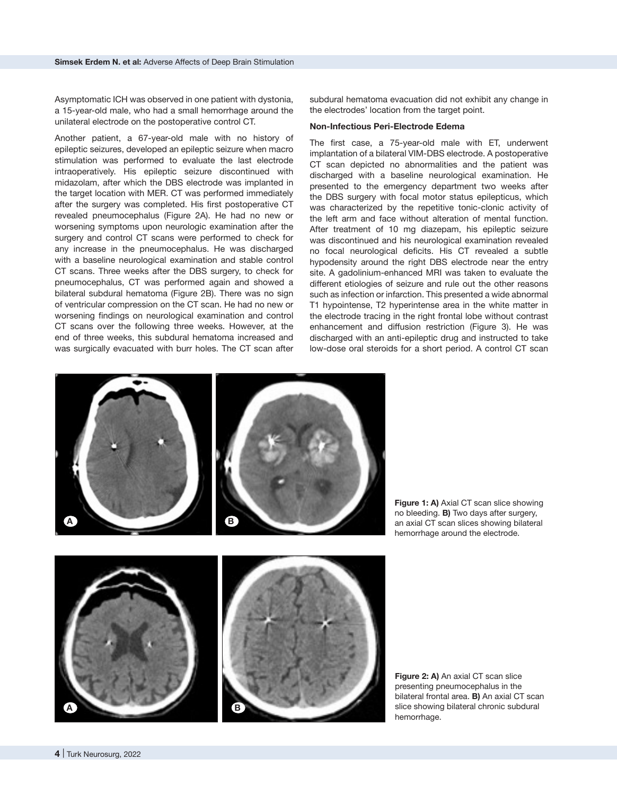Asymptomatic ICH was observed in one patient with dystonia, a 15-year-old male, who had a small hemorrhage around the unilateral electrode on the postoperative control CT.

Another patient, a 67-year-old male with no history of epileptic seizures, developed an epileptic seizure when macro stimulation was performed to evaluate the last electrode intraoperatively. His epileptic seizure discontinued with midazolam, after which the DBS electrode was implanted in the target location with MER. CT was performed immediately after the surgery was completed. His first postoperative CT revealed pneumocephalus (Figure 2A). He had no new or worsening symptoms upon neurologic examination after the surgery and control CT scans were performed to check for any increase in the pneumocephalus. He was discharged with a baseline neurological examination and stable control CT scans. Three weeks after the DBS surgery, to check for pneumocephalus, CT was performed again and showed a bilateral subdural hematoma (Figure 2B). There was no sign of ventricular compression on the CT scan. He had no new or worsening findings on neurological examination and control CT scans over the following three weeks. However, at the end of three weeks, this subdural hematoma increased and was surgically evacuated with burr holes. The CT scan after

subdural hematoma evacuation did not exhibit any change in the electrodes' location from the target point.

### **Non-Infectious Peri-Electrode Edema**

The first case, a 75-year-old male with ET, underwent implantation of a bilateral VIM-DBS electrode. A postoperative CT scan depicted no abnormalities and the patient was discharged with a baseline neurological examination. He presented to the emergency department two weeks after the DBS surgery with focal motor status epilepticus, which was characterized by the repetitive tonic-clonic activity of the left arm and face without alteration of mental function. After treatment of 10 mg diazepam, his epileptic seizure was discontinued and his neurological examination revealed no focal neurological deficits. His CT revealed a subtle hypodensity around the right DBS electrode near the entry site. A gadolinium-enhanced MRI was taken to evaluate the different etiologies of seizure and rule out the other reasons such as infection or infarction. This presented a wide abnormal T1 hypointense, T2 hyperintense area in the white matter in the electrode tracing in the right frontal lobe without contrast enhancement and diffusion restriction (Figure 3). He was discharged with an anti-epileptic drug and instructed to take low-dose oral steroids for a short period. A control CT scan



**Figure 1: A)** Axial CT scan slice showing no bleeding. **B)** Two days after surgery, an axial CT scan slices showing bilateral hemorrhage around the electrode.



**Figure 2: A)** An axial CT scan slice presenting pneumocephalus in the bilateral frontal area. **B)** An axial CT scan slice showing bilateral chronic subdural hemorrhage.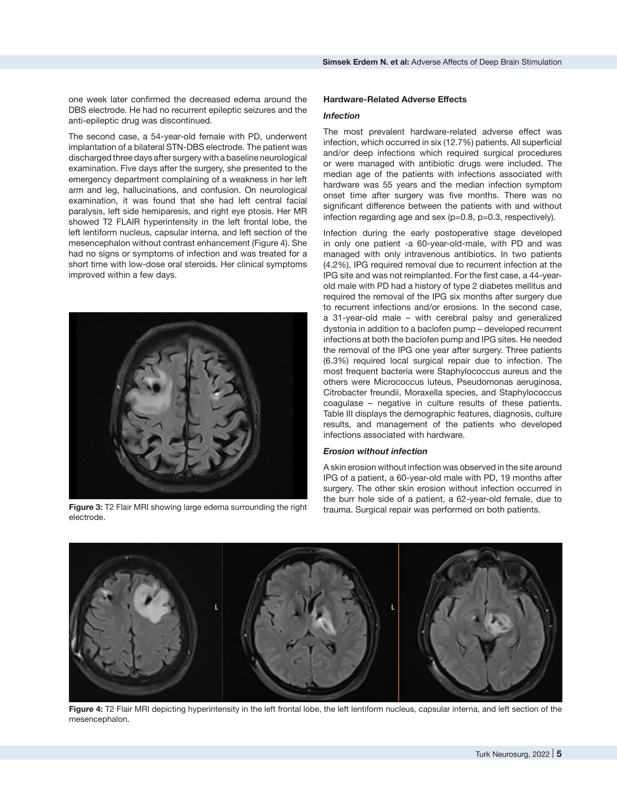one week later confirmed the decreased edema around the DBS electrode. He had no recurrent epileptic seizures and the anti-epileptic drug was discontinued.

The second case, a 54-year-old female with PD, underwent implantation of a bilateral STN-DBS electrode. The patient was discharged three days after surgery with a baseline neurological examination. Five days after the surgery, she presented to the emergency department complaining of a weakness in her left arm and leg, hallucinations, and confusion. On neurological examination, it was found that she had left central facial paralysis, left side hemiparesis, and right eye ptosis. Her MR showed T2 FLAIR hyperintensity in the left frontal lobe, the left lentiform nucleus, capsular interna, and left section of the mesencephalon without contrast enhancement (Figure 4). She had no signs or symptoms of infection and was treated for a short time with low-dose oral steroids. Her clinical symptoms improved within a few days.



**Figure 3:** T2 Flair MRI showing large edema surrounding the right electrode.

## **Hardware-Related Adverse Effects**

#### *Infection*

The most prevalent hardware-related adverse effect was infection, which occurred in six (12.7%) patients. All superficial and/or deep infections which required surgical procedures or were managed with antibiotic drugs were included. The median age of the patients with infections associated with hardware was 55 years and the median infection symptom onset time after surgery was five months. There was no significant difference between the patients with and without infection regarding age and sex (p=0.8, p=0.3, respectively).

Infection during the early postoperative stage developed in only one patient -a 60-year-old-male, with PD and was managed with only intravenous antibiotics. In two patients (4.2%), IPG required removal due to recurrent infection at the IPG site and was not reimplanted. For the first case, a 44-yearold male with PD had a history of type 2 diabetes mellitus and required the removal of the IPG six months after surgery due to recurrent infections and/or erosions. In the second case, a 31-year-old male – with cerebral palsy and generalized dystonia in addition to a baclofen pump – developed recurrent infections at both the baclofen pump and IPG sites. He needed the removal of the IPG one year after surgery. Three patients (6.3%) required local surgical repair due to infection. The most frequent bacteria were Staphylococcus aureus and the others were Micrococcus luteus, Pseudomonas aeruginosa, Citrobacter freundii, Moraxella species, and Staphylococcus coagulase – negative in culture results of these patients. Table III displays the demographic features, diagnosis, culture results, and management of the patients who developed infections associated with hardware.

## *Erosion without infection*

A skin erosion without infection was observed in the site around IPG of a patient, a 60-year-old male with PD, 19 months after surgery. The other skin erosion without infection occurred in the burr hole side of a patient, a 62-year-old female, due to trauma. Surgical repair was performed on both patients.



Figure 4: T2 Flair MRI depicting hyperintensity in the left frontal lobe, the left lentiform nucleus, capsular interna, and left section of the mesencephalon.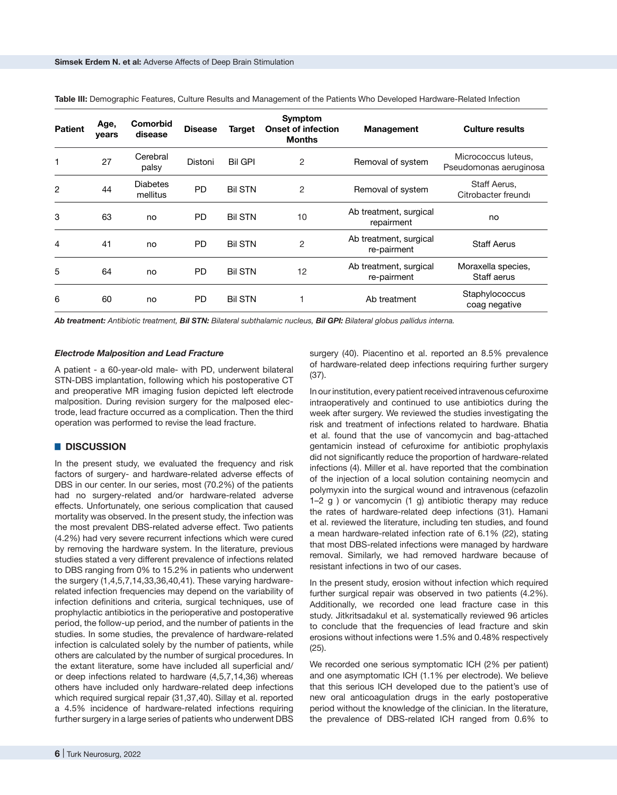| <b>Patient</b> | Age,<br>years | <b>Comorbid</b><br>disease  | <b>Disease</b> | Target         | Symptom<br><b>Onset of infection</b><br><b>Months</b> | Management                            | <b>Culture results</b>                        |  |
|----------------|---------------|-----------------------------|----------------|----------------|-------------------------------------------------------|---------------------------------------|-----------------------------------------------|--|
| 1              | 27            | Cerebral<br>palsy           | Distoni        | <b>Bil GPI</b> | 2                                                     | Removal of system                     | Micrococcus luteus,<br>Pseudomonas aeruginosa |  |
| 2              | 44            | <b>Diabetes</b><br>mellitus | <b>PD</b>      | <b>Bil STN</b> | 2                                                     | Removal of system                     | Staff Aerus,<br>Citrobacter freundi           |  |
| 3              | 63            | no                          | <b>PD</b>      | <b>Bil STN</b> | 10                                                    | Ab treatment, surgical<br>repairment  | no                                            |  |
| 4              | 41            | no                          | <b>PD</b>      | <b>Bil STN</b> | 2                                                     | Ab treatment, surgical<br>re-pairment | <b>Staff Aerus</b>                            |  |
| 5              | 64            | no                          | <b>PD</b>      | <b>Bil STN</b> | 12                                                    | Ab treatment, surgical<br>re-pairment | Moraxella species,<br>Staff aerus             |  |
| 6              | 60            | no                          | <b>PD</b>      | <b>Bil STN</b> |                                                       | Ab treatment                          | Staphylococcus<br>coag negative               |  |

**Table III:** Demographic Features, Culture Results and Management of the Patients Who Developed Hardware-Related Infection

*Ab treatment: Antibiotic treatment, Bil STN: Bilateral subthalamic nucleus, Bil GPI: Bilateral globus pallidus interna.*

#### *Electrode Malposition and Lead Fracture*

A patient - a 60-year-old male- with PD, underwent bilateral STN-DBS implantation, following which his postoperative CT and preoperative MR imaging fusion depicted left electrode malposition. During revision surgery for the malposed electrode, lead fracture occurred as a complication. Then the third operation was performed to revise the lead fracture.

### █ **DISCUSSION**

In the present study, we evaluated the frequency and risk factors of surgery- and hardware-related adverse effects of DBS in our center. In our series, most (70.2%) of the patients had no surgery-related and/or hardware-related adverse effects. Unfortunately, one serious complication that caused mortality was observed. In the present study, the infection was the most prevalent DBS-related adverse effect. Two patients (4.2%) had very severe recurrent infections which were cured by removing the hardware system. In the literature, previous studies stated a very different prevalence of infections related to DBS ranging from 0% to 15.2% in patients who underwent the surgery (1,4,5,7,14,33,36,40,41). These varying hardwarerelated infection frequencies may depend on the variability of infection definitions and criteria, surgical techniques, use of prophylactic antibiotics in the perioperative and postoperative period, the follow-up period, and the number of patients in the studies. In some studies, the prevalence of hardware-related infection is calculated solely by the number of patients, while others are calculated by the number of surgical procedures. In the extant literature, some have included all superficial and/ or deep infections related to hardware (4,5,7,14,36) whereas others have included only hardware-related deep infections which required surgical repair (31,37,40). Sillay et al. reported a 4.5% incidence of hardware-related infections requiring further surgery in a large series of patients who underwent DBS

surgery (40). Piacentino et al. reported an 8.5% prevalence of hardware-related deep infections requiring further surgery (37).

In our institution, every patient received intravenous cefuroxime intraoperatively and continued to use antibiotics during the week after surgery. We reviewed the studies investigating the risk and treatment of infections related to hardware. Bhatia et al. found that the use of vancomycin and bag-attached gentamicin instead of cefuroxime for antibiotic prophylaxis did not significantly reduce the proportion of hardware-related infections (4). Miller et al. have reported that the combination of the injection of a local solution containing neomycin and polymyxin into the surgical wound and intravenous (cefazolin 1–2 g ) or vancomycin (1 g) antibiotic therapy may reduce the rates of hardware-related deep infections (31). Hamani et al. reviewed the literature, including ten studies, and found a mean hardware-related infection rate of 6.1% (22), stating that most DBS-related infections were managed by hardware removal. Similarly, we had removed hardware because of resistant infections in two of our cases.

In the present study, erosion without infection which required further surgical repair was observed in two patients (4.2%). Additionally, we recorded one lead fracture case in this study. Jitkritsadakul et al. systematically reviewed 96 articles to conclude that the frequencies of lead fracture and skin erosions without infections were 1.5% and 0.48% respectively (25).

We recorded one serious symptomatic ICH (2% per patient) and one asymptomatic ICH (1.1% per electrode). We believe that this serious ICH developed due to the patient's use of new oral anticoagulation drugs in the early postoperative period without the knowledge of the clinician. In the literature, the prevalence of DBS-related ICH ranged from 0.6% to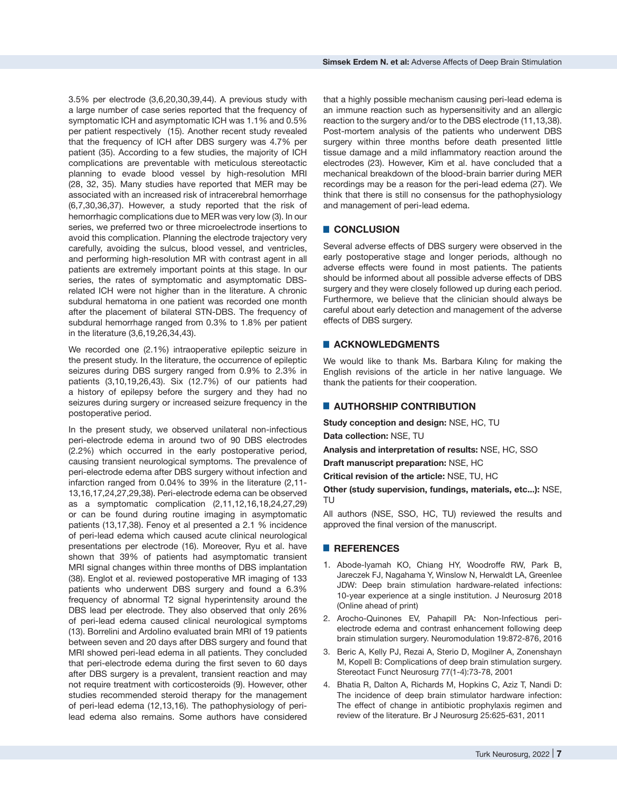3.5% per electrode (3,6,20,30,39,44). A previous study with a large number of case series reported that the frequency of symptomatic ICH and asymptomatic ICH was 1.1% and 0.5% per patient respectively (15). Another recent study revealed that the frequency of ICH after DBS surgery was 4.7% per patient (35). According to a few studies, the majority of ICH complications are preventable with meticulous stereotactic planning to evade blood vessel by high-resolution MRI (28, 32, 35). Many studies have reported that MER may be associated with an increased risk of intracerebral hemorrhage (6,7,30,36,37). However, a study reported that the risk of hemorrhagic complications due to MER was very low (3). In our series, we preferred two or three microelectrode insertions to avoid this complication. Planning the electrode trajectory very carefully, avoiding the sulcus, blood vessel, and ventricles, and performing high-resolution MR with contrast agent in all patients are extremely important points at this stage. In our series, the rates of symptomatic and asymptomatic DBSrelated ICH were not higher than in the literature. A chronic subdural hematoma in one patient was recorded one month after the placement of bilateral STN-DBS. The frequency of subdural hemorrhage ranged from 0.3% to 1.8% per patient in the literature (3,6,19,26,34,43).

We recorded one (2.1%) intraoperative epileptic seizure in the present study. In the literature, the occurrence of epileptic seizures during DBS surgery ranged from 0.9% to 2.3% in patients (3,10,19,26,43). Six (12.7%) of our patients had a history of epilepsy before the surgery and they had no seizures during surgery or increased seizure frequency in the postoperative period.

In the present study, we observed unilateral non-infectious peri-electrode edema in around two of 90 DBS electrodes (2.2%) which occurred in the early postoperative period, causing transient neurological symptoms. The prevalence of peri-electrode edema after DBS surgery without infection and infarction ranged from 0.04% to 39% in the literature (2,11- 13,16,17,24,27,29,38). Peri-electrode edema can be observed as a symptomatic complication (2,11,12,16,18,24,27,29) or can be found during routine imaging in asymptomatic patients (13,17,38). Fenoy et al presented a 2.1 % incidence of peri-lead edema which caused acute clinical neurological presentations per electrode (16). Moreover, Ryu et al. have shown that 39% of patients had asymptomatic transient MRI signal changes within three months of DBS implantation (38). Englot et al. reviewed postoperative MR imaging of 133 patients who underwent DBS surgery and found a 6.3% frequency of abnormal T2 signal hyperintensity around the DBS lead per electrode. They also observed that only 26% of peri-lead edema caused clinical neurological symptoms (13). Borrelini and Ardolino evaluated brain MRI of 19 patients between seven and 20 days after DBS surgery and found that MRI showed peri-lead edema in all patients. They concluded that peri-electrode edema during the first seven to 60 days after DBS surgery is a prevalent, transient reaction and may not require treatment with corticosteroids (9). However, other studies recommended steroid therapy for the management of peri-lead edema (12,13,16). The pathophysiology of perilead edema also remains. Some authors have considered that a highly possible mechanism causing peri-lead edema is an immune reaction such as hypersensitivity and an allergic reaction to the surgery and/or to the DBS electrode (11,13,38). Post-mortem analysis of the patients who underwent DBS surgery within three months before death presented little tissue damage and a mild inflammatory reaction around the electrodes (23). However, Kim et al. have concluded that a mechanical breakdown of the blood-brain barrier during MER recordings may be a reason for the peri-lead edema (27). We think that there is still no consensus for the pathophysiology and management of peri-lead edema.

## █ **CONCLUSION**

Several adverse effects of DBS surgery were observed in the early postoperative stage and longer periods, although no adverse effects were found in most patients. The patients should be informed about all possible adverse effects of DBS surgery and they were closely followed up during each period. Furthermore, we believe that the clinician should always be careful about early detection and management of the adverse effects of DBS surgery.

## █ **ACKNOWLEDGMENTS**

We would like to thank Ms. Barbara Kılınç for making the English revisions of the article in her native language. We thank the patients for their cooperation.

## **E** AUTHORSHIP CONTRIBUTION

**Study conception and design:** NSE, HC, TU **Data collection:** NSE, TU

**Analysis and interpretation of results:** NSE, HC, SSO

**Draft manuscript preparation:** NSE, HC

**Critical revision of the article:** NSE, TU, HC

**Other (study supervision, fundings, materials, etc...):** NSE, TU

All authors (NSE, SSO, HC, TU) reviewed the results and approved the final version of the manuscript.

## █ **REFERENCES**

- 1. Abode-Iyamah KO, Chiang HY, Woodroffe RW, Park B, Jareczek FJ, Nagahama Y, Winslow N, Herwaldt LA, Greenlee JDW: Deep brain stimulation hardware-related infections: 10-year experience at a single institution. J Neurosurg 2018 (Online ahead of print)
- 2. Arocho-Quinones EV, Pahapill PA: Non-Infectious perielectrode edema and contrast enhancement following deep brain stimulation surgery. Neuromodulation 19:872-876, 2016
- 3. Beric A, Kelly PJ, Rezai A, Sterio D, Mogilner A, Zonenshayn M, Kopell B: Complications of deep brain stimulation surgery. Stereotact Funct Neurosurg 77(1-4):73-78, 2001
- 4. Bhatia R, Dalton A, Richards M, Hopkins C, Aziz T, Nandi D: The incidence of deep brain stimulator hardware infection: The effect of change in antibiotic prophylaxis regimen and review of the literature. Br J Neurosurg 25:625-631, 2011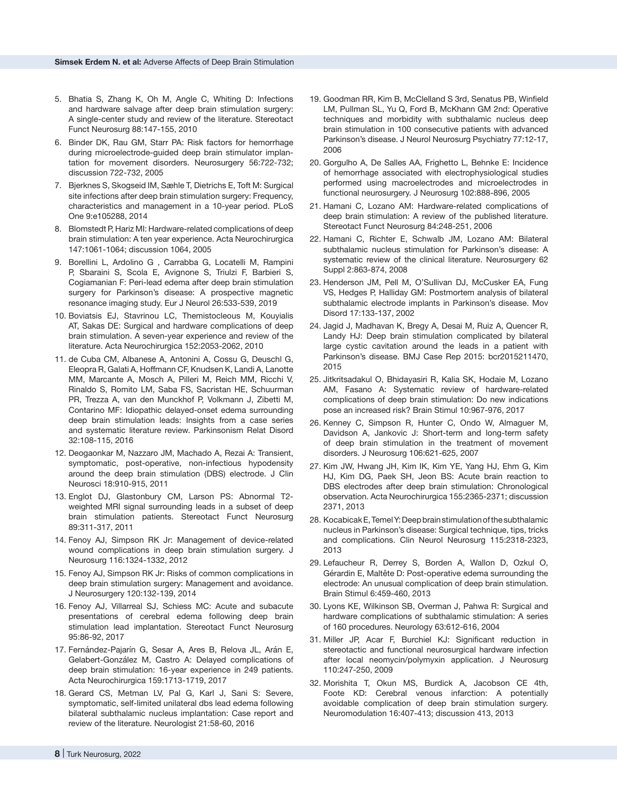- 5. Bhatia S, Zhang K, Oh M, Angle C, Whiting D: Infections and hardware salvage after deep brain stimulation surgery: A single-center study and review of the literature. Stereotact Funct Neurosurg 88:147-155, 2010
- 6. Binder DK, Rau GM, Starr PA: Risk factors for hemorrhage during microelectrode-guided deep brain stimulator implantation for movement disorders. Neurosurgery 56:722-732; discussion 722-732, 2005
- 7. Bjerknes S, Skogseid IM, Sæhle T, Dietrichs E, Toft M: Surgical site infections after deep brain stimulation surgery: Frequency, characteristics and management in a 10-year period. PLoS One 9:e105288, 2014
- 8. Blomstedt P, Hariz MI: Hardware-related complications of deep brain stimulation: A ten year experience. Acta Neurochirurgica 147:1061-1064; discussion 1064, 2005
- 9. Borellini L, Ardolino G , Carrabba G, Locatelli M, Rampini P, Sbaraini S, Scola E, Avignone S, Triulzi F, Barbieri S, Cogiamanian F: Peri-lead edema after deep brain stimulation surgery for Parkinson's disease: A prospective magnetic resonance imaging study. Eur J Neurol 26:533-539, 2019
- 10. Boviatsis EJ, Stavrinou LC, Themistocleous M, Kouyialis AT. Sakas DE: Surgical and hardware complications of deep brain stimulation. A seven-year experience and review of the literature. Acta Neurochirurgica 152:2053-2062, 2010
- 11. de Cuba CM, Albanese A, Antonini A, Cossu G, Deuschl G, Eleopra R, Galati A, Hoffmann CF, Knudsen K, Landi A, Lanotte MM, Marcante A, Mosch A, Pilleri M, Reich MM, Ricchi V, Rinaldo S, Romito LM, Saba FS, Sacristan HE, Schuurman PR, Trezza A, van den Munckhof P, Volkmann J, Zibetti M, Contarino MF: Idiopathic delayed-onset edema surrounding deep brain stimulation leads: Insights from a case series and systematic literature review. Parkinsonism Relat Disord 32:108-115, 2016
- 12. Deogaonkar M, Nazzaro JM, Machado A, Rezai A: Transient, symptomatic, post-operative, non-infectious hypodensity around the deep brain stimulation (DBS) electrode. J Clin Neurosci 18:910-915, 2011
- 13. Englot DJ, Glastonbury CM, Larson PS: Abnormal T2 weighted MRI signal surrounding leads in a subset of deep brain stimulation patients. Stereotact Funct Neurosurg 89:311-317, 2011
- 14. Fenoy AJ, Simpson RK Jr: Management of device-related wound complications in deep brain stimulation surgery. J Neurosurg 116:1324-1332, 2012
- 15. Fenoy AJ, Simpson RK Jr: Risks of common complications in deep brain stimulation surgery: Management and avoidance. J Neurosurgery 120:132-139, 2014
- 16. Fenoy AJ, Villarreal SJ, Schiess MC: Acute and subacute presentations of cerebral edema following deep brain stimulation lead implantation. Stereotact Funct Neurosurg 95:86-92, 2017
- 17. Fernández-Pajarín G, Sesar A, Ares B, Relova JL, Arán E, Gelabert-González M, Castro A: Delayed complications of deep brain stimulation: 16-year experience in 249 patients. Acta Neurochirurgica 159:1713-1719, 2017
- 18. Gerard CS, Metman LV, Pal G, Karl J, Sani S: Severe, symptomatic, self-limited unilateral dbs lead edema following bilateral subthalamic nucleus implantation: Case report and review of the literature. Neurologist 21:58-60, 2016
- 19. Goodman RR, Kim B, McClelland S 3rd, Senatus PB, Winfield LM, Pullman SL, Yu Q, Ford B, McKhann GM 2nd: Operative techniques and morbidity with subthalamic nucleus deep brain stimulation in 100 consecutive patients with advanced Parkinson's disease. J Neurol Neurosurg Psychiatry 77:12-17, 2006
- 20. Gorgulho A, De Salles AA, Frighetto L, Behnke E: Incidence of hemorrhage associated with electrophysiological studies performed using macroelectrodes and microelectrodes in functional neurosurgery. J Neurosurg 102:888-896, 2005
- 21. Hamani C, Lozano AM: Hardware-related complications of deep brain stimulation: A review of the published literature. Stereotact Funct Neurosurg 84:248-251, 2006
- 22. Hamani C, Richter E, Schwalb JM, Lozano AM: Bilateral subthalamic nucleus stimulation for Parkinson's disease: A systematic review of the clinical literature. Neurosurgery 62 Suppl 2:863-874, 2008
- 23. Henderson JM, Pell M, O'Sullivan DJ, McCusker EA, Fung VS, Hedges P, Halliday GM: Postmortem analysis of bilateral subthalamic electrode implants in Parkinson's disease. Mov Disord 17:133-137, 2002
- 24. Jagid J, Madhavan K, Bregy A, Desai M, Ruiz A, Quencer R, Landy HJ: Deep brain stimulation complicated by bilateral large cystic cavitation around the leads in a patient with Parkinson's disease. BMJ Case Rep 2015: bcr2015211470, 2015
- 25. Jitkritsadakul O, Bhidayasiri R, Kalia SK, Hodaie M, Lozano AM, Fasano A: Systematic review of hardware-related complications of deep brain stimulation: Do new indications pose an increased risk? Brain Stimul 10:967-976, 2017
- 26. Kenney C, Simpson R, Hunter C, Ondo W, Almaguer M, Davidson A, Jankovic J: Short-term and long-term safety of deep brain stimulation in the treatment of movement disorders. J Neurosurg 106:621-625, 2007
- 27. Kim JW, Hwang JH, Kim IK, Kim YE, Yang HJ, Ehm G, Kim HJ, Kim DG, Paek SH, Jeon BS: Acute brain reaction to DBS electrodes after deep brain stimulation: Chronological observation. Acta Neurochirurgica 155:2365-2371; discussion 2371, 2013
- 28. Kocabicak E, Temel Y: Deep brain stimulation of the subthalamic nucleus in Parkinson's disease: Surgical technique, tips, tricks and complications. Clin Neurol Neurosurg 115:2318-2323, 2013
- 29. Lefaucheur R, Derrey S, Borden A, Wallon D, Ozkul O, Gérardin E, Maltête D: Post-operative edema surrounding the electrode: An unusual complication of deep brain stimulation. Brain Stimul 6:459-460, 2013
- 30. Lyons KE, Wilkinson SB, Overman J, Pahwa R: Surgical and hardware complications of subthalamic stimulation: A series of 160 procedures. Neurology 63:612-616, 2004
- 31. Miller JP, Acar F, Burchiel KJ: Significant reduction in stereotactic and functional neurosurgical hardware infection after local neomycin/polymyxin application. J Neurosurg 110:247-250, 2009
- 32. Morishita T, Okun MS, Burdick A, Jacobson CE 4th, Foote KD: Cerebral venous infarction: A potentially avoidable complication of deep brain stimulation surgery. Neuromodulation 16:407-413; discussion 413, 2013